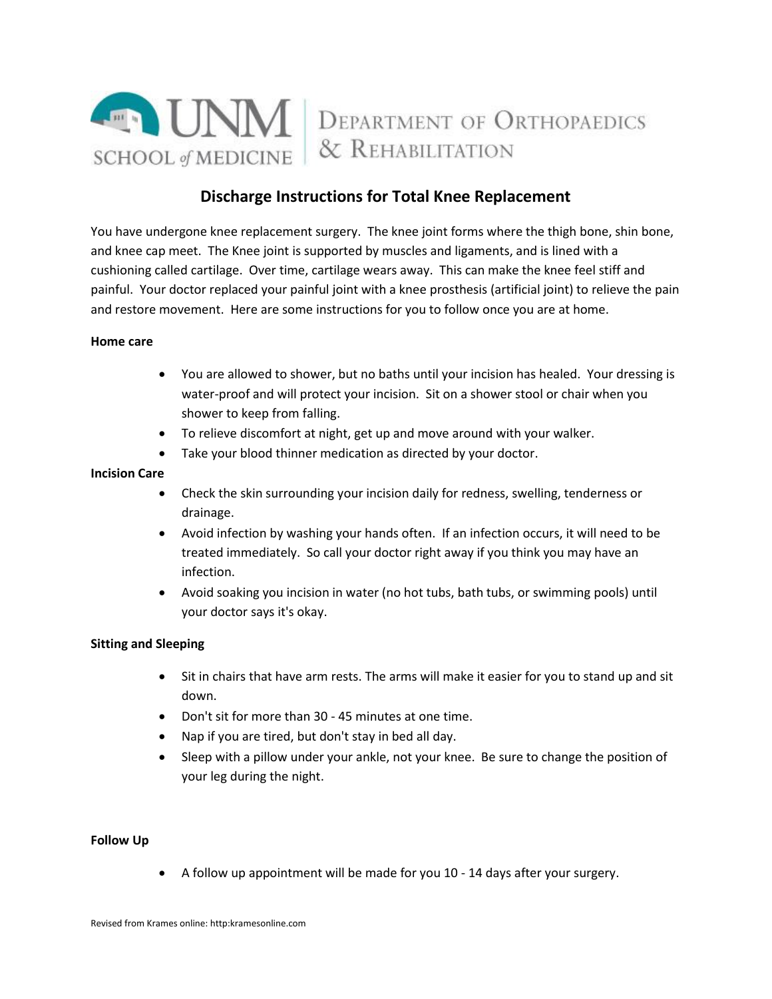

# **Discharge Instructions for Total Knee Replacement**

You have undergone knee replacement surgery. The knee joint forms where the thigh bone, shin bone, and knee cap meet. The Knee joint is supported by muscles and ligaments, and is lined with a cushioning called cartilage. Over time, cartilage wears away. This can make the knee feel stiff and painful. Your doctor replaced your painful joint with a knee prosthesis (artificial joint) to relieve the pain and restore movement. Here are some instructions for you to follow once you are at home.

## **Home care**

- You are allowed to shower, but no baths until your incision has healed. Your dressing is water-proof and will protect your incision. Sit on a shower stool or chair when you shower to keep from falling.
- To relieve discomfort at night, get up and move around with your walker.
- Take your blood thinner medication as directed by your doctor.

# **Incision Care**

- Check the skin surrounding your incision daily for redness, swelling, tenderness or drainage.
- Avoid infection by washing your hands often. If an infection occurs, it will need to be treated immediately. So call your doctor right away if you think you may have an infection.
- Avoid soaking you incision in water (no hot tubs, bath tubs, or swimming pools) until your doctor says it's okay.

# **Sitting and Sleeping**

- Sit in chairs that have arm rests. The arms will make it easier for you to stand up and sit down.
- Don't sit for more than 30 45 minutes at one time.
- Nap if you are tired, but don't stay in bed all day.
- Sleep with a pillow under your ankle, not your knee. Be sure to change the position of your leg during the night.

# **Follow Up**

A follow up appointment will be made for you 10 - 14 days after your surgery.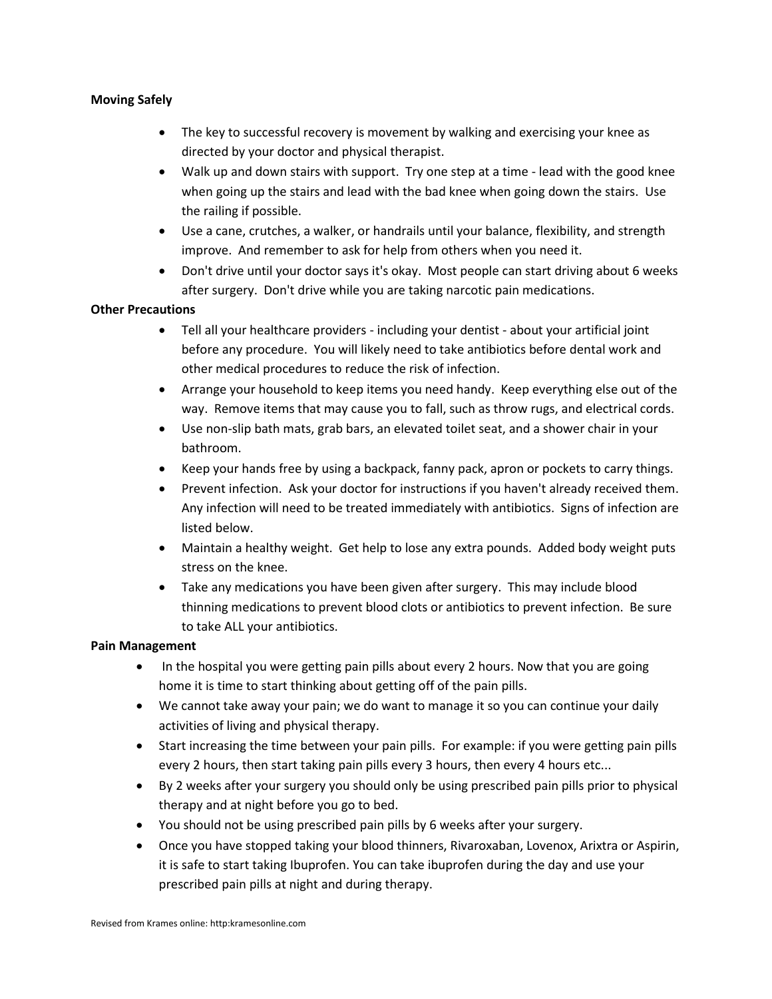# **Moving Safely**

- The key to successful recovery is movement by walking and exercising your knee as directed by your doctor and physical therapist.
- Walk up and down stairs with support. Try one step at a time lead with the good knee when going up the stairs and lead with the bad knee when going down the stairs. Use the railing if possible.
- Use a cane, crutches, a walker, or handrails until your balance, flexibility, and strength improve. And remember to ask for help from others when you need it.
- Don't drive until your doctor says it's okay. Most people can start driving about 6 weeks after surgery. Don't drive while you are taking narcotic pain medications.

# **Other Precautions**

- Tell all your healthcare providers including your dentist about your artificial joint before any procedure. You will likely need to take antibiotics before dental work and other medical procedures to reduce the risk of infection.
- Arrange your household to keep items you need handy. Keep everything else out of the way. Remove items that may cause you to fall, such as throw rugs, and electrical cords.
- Use non-slip bath mats, grab bars, an elevated toilet seat, and a shower chair in your bathroom.
- Keep your hands free by using a backpack, fanny pack, apron or pockets to carry things.
- Prevent infection. Ask your doctor for instructions if you haven't already received them. Any infection will need to be treated immediately with antibiotics. Signs of infection are listed below.
- Maintain a healthy weight. Get help to lose any extra pounds. Added body weight puts stress on the knee.
- Take any medications you have been given after surgery. This may include blood thinning medications to prevent blood clots or antibiotics to prevent infection. Be sure to take ALL your antibiotics.

# **Pain Management**

- In the hospital you were getting pain pills about every 2 hours. Now that you are going home it is time to start thinking about getting off of the pain pills.
- We cannot take away your pain; we do want to manage it so you can continue your daily activities of living and physical therapy.
- Start increasing the time between your pain pills. For example: if you were getting pain pills every 2 hours, then start taking pain pills every 3 hours, then every 4 hours etc...
- By 2 weeks after your surgery you should only be using prescribed pain pills prior to physical therapy and at night before you go to bed.
- You should not be using prescribed pain pills by 6 weeks after your surgery.
- Once you have stopped taking your blood thinners, Rivaroxaban, Lovenox, Arixtra or Aspirin, it is safe to start taking Ibuprofen. You can take ibuprofen during the day and use your prescribed pain pills at night and during therapy.